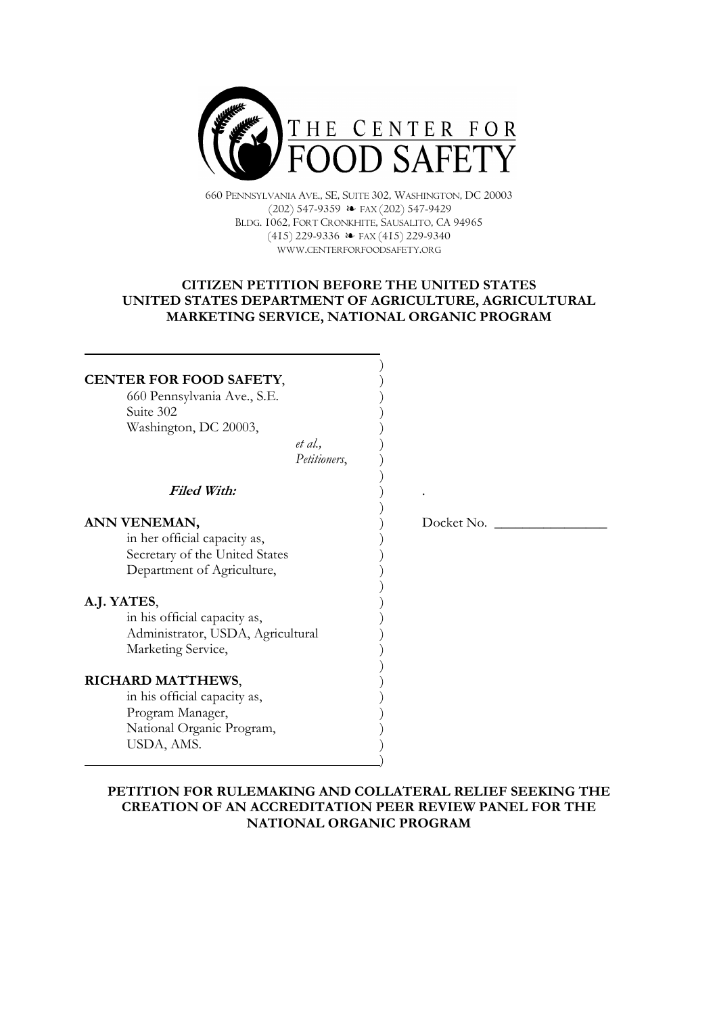

660 PENNSYLVANIA AVE., SE, SUITE 302, WASHINGTON, DC 20003  $(202)$  547-9359  $\leftrightarrow$  FAX $(202)$  547-9429 BLDG. 1062, FORT CRONKHITE, SAUSALITO, CA 94965  $(415)$  229-9336  $\leftrightarrow$  FAX (415) 229-9340 WWW.CENTERFORFOODSAFETY.ORG

# **CITIZEN PETITION BEFORE THE UNITED STATES** UNITED STATES DEPARTMENT OF AGRICULTURE, AGRICULTURAL MARKETING SERVICE, NATIONAL ORGANIC PROGRAM

 $\lambda$ 

 $\mathcal{E}$ 

 $\left( \right)$ 

 $\big)$ 

 $\mathcal{E}$ 

 $\big)$ 

 $\mathcal{E}$ 

 $\ddot{\phantom{a}}$ 

# CENTER FOR FOOD SAFETY,

660 Pennsylvania Ave., S.E. Suite 302 Washington, DC 20003,

> $et al.$ Petitioners.

**Filed With:** 

## ANN VENEMAN.

in her official capacity as, Secretary of the United States Department of Agriculture,

## A.J. YATES,

in his official capacity as, Administrator, USDA, Agricultural Marketing Service,

## **RICHARD MATTHEWS,**

in his official capacity as, Program Manager, National Organic Program, USDA, AMS.

Docket No.

# PETITION FOR RULEMAKING AND COLLATERAL RELIEF SEEKING THE **CREATION OF AN ACCREDITATION PEER REVIEW PANEL FOR THE** NATIONAL ORGANIC PROGRAM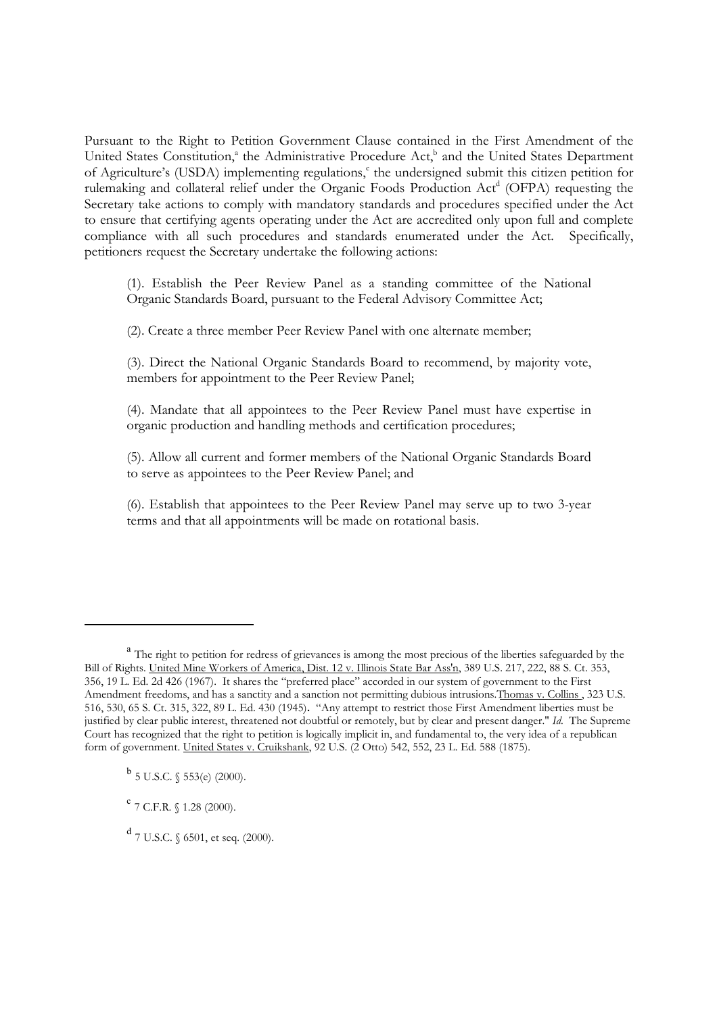Pursuant to the Right to Petition Government Clause contained in the First Amendment of the United States Constitution,<sup>ª</sup> the Administrative Procedure Act,<sup>b</sup> and the United States Department of Agriculture's (USDA) implementing regulations,<sup>c</sup> the undersigned submit this citizen petition for rulemaking and collateral relief under the Organic Foods Production Act<sup>d</sup> (OFPA) requesting the Secretary take actions to comply with mandatory standards and procedures specified under the Act to ensure that certifying agents operating under the Act are accredited only upon full and complete compliance with all such procedures and standards enumerated under the Act. Specifically, petitioners request the Secretary undertake the following actions:

(1). Establish the Peer Review Panel as a standing committee of the National Organic Standards Board, pursuant to the Federal Advisory Committee Act;

(2). Create a three member Peer Review Panel with one alternate member;

(3). Direct the National Organic Standards Board to recommend, by majority vote, members for appointment to the Peer Review Panel:

(4). Mandate that all appointees to the Peer Review Panel must have expertise in organic production and handling methods and certification procedures;

(5). Allow all current and former members of the National Organic Standards Board to serve as appointees to the Peer Review Panel; and

(6). Establish that appointees to the Peer Review Panel may serve up to two 3-year terms and that all appointments will be made on rotational basis.

 $d$  7 U.S.C.  $\sqrt{6501}$ , et seq. (2000).

<sup>&</sup>lt;sup>a</sup> The right to petition for redress of grievances is among the most precious of the liberties safeguarded by the Bill of Rights. United Mine Workers of America, Dist. 12 v. Illinois State Bar Ass'n, 389 U.S. 217, 222, 88 S. Ct. 353, 356, 19 L. Ed. 2d 426 (1967). It shares the "preferred place" accorded in our system of government to the First Amendment freedoms, and has a sanctity and a sanction not permitting dubious intrusions. Thomas v. Collins., 323 U.S. 516, 530, 65 S. Ct. 315, 322, 89 L. Ed. 430 (1945). "Any attempt to restrict those First Amendment liberties must be justified by clear public interest, threatened not doubtful or remotely, but by clear and present danger." Id. The Supreme Court has recognized that the right to petition is logically implicit in, and fundamental to, the very idea of a republican form of government. United States v. Cruikshank, 92 U.S. (2 Otto) 542, 552, 23 L. Ed. 588 (1875).

 $^{b}$  5 U.S.C. § 553(e) (2000).

 $^{\rm c}$  7 C.F.R.  $\uparrow$  1.28 (2000).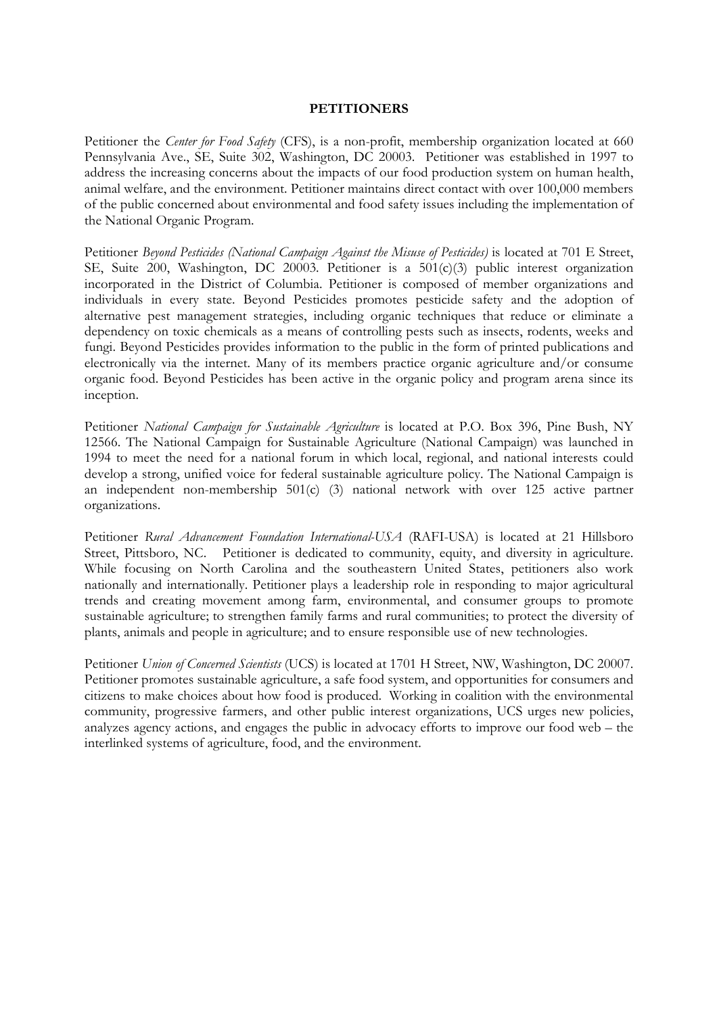#### **PETITIONERS**

Petitioner the *Center for Food Safety* (CFS), is a non-profit, membership organization located at 660 Pennsylvania Ave., SE, Suite 302, Washington, DC 20003. Petitioner was established in 1997 to address the increasing concerns about the impacts of our food production system on human health, animal welfare, and the environment. Petitioner maintains direct contact with over 100,000 members of the public concerned about environmental and food safety issues including the implementation of the National Organic Program.

Petitioner Beyond Pesticides (National Campaign Against the Misuse of Pesticides) is located at 701 E Street, SE, Suite 200, Washington, DC 20003. Petitioner is a 501(c)(3) public interest organization incorporated in the District of Columbia. Petitioner is composed of member organizations and individuals in every state. Beyond Pesticides promotes pesticide safety and the adoption of alternative pest management strategies, including organic techniques that reduce or eliminate a dependency on toxic chemicals as a means of controlling pests such as insects, rodents, weeks and fungi. Beyond Pesticides provides information to the public in the form of printed publications and electronically via the internet. Many of its members practice organic agriculture and/or consume organic food. Beyond Pesticides has been active in the organic policy and program arena since its inception.

Petitioner National Campaign for Sustainable Agriculture is located at P.O. Box 396, Pine Bush, NY 12566. The National Campaign for Sustainable Agriculture (National Campaign) was launched in 1994 to meet the need for a national forum in which local, regional, and national interests could develop a strong, unified voice for federal sustainable agriculture policy. The National Campaign is an independent non-membership 501(c) (3) national network with over 125 active partner organizations.

Petitioner Rural Advancement Foundation International-USA (RAFI-USA) is located at 21 Hillsboro Street, Pittsboro, NC. Petitioner is dedicated to community, equity, and diversity in agriculture. While focusing on North Carolina and the southeastern United States, petitioners also work nationally and internationally. Petitioner plays a leadership role in responding to major agricultural trends and creating movement among farm, environmental, and consumer groups to promote sustainable agriculture; to strengthen family farms and rural communities; to protect the diversity of plants, animals and people in agriculture; and to ensure responsible use of new technologies.

Petitioner Union of Concerned Scientists (UCS) is located at 1701 H Street, NW, Washington, DC 20007. Petitioner promotes sustainable agriculture, a safe food system, and opportunities for consumers and citizens to make choices about how food is produced. Working in coalition with the environmental community, progressive farmers, and other public interest organizations, UCS urges new policies, analyzes agency actions, and engages the public in advocacy efforts to improve our food web – the interlinked systems of agriculture, food, and the environment.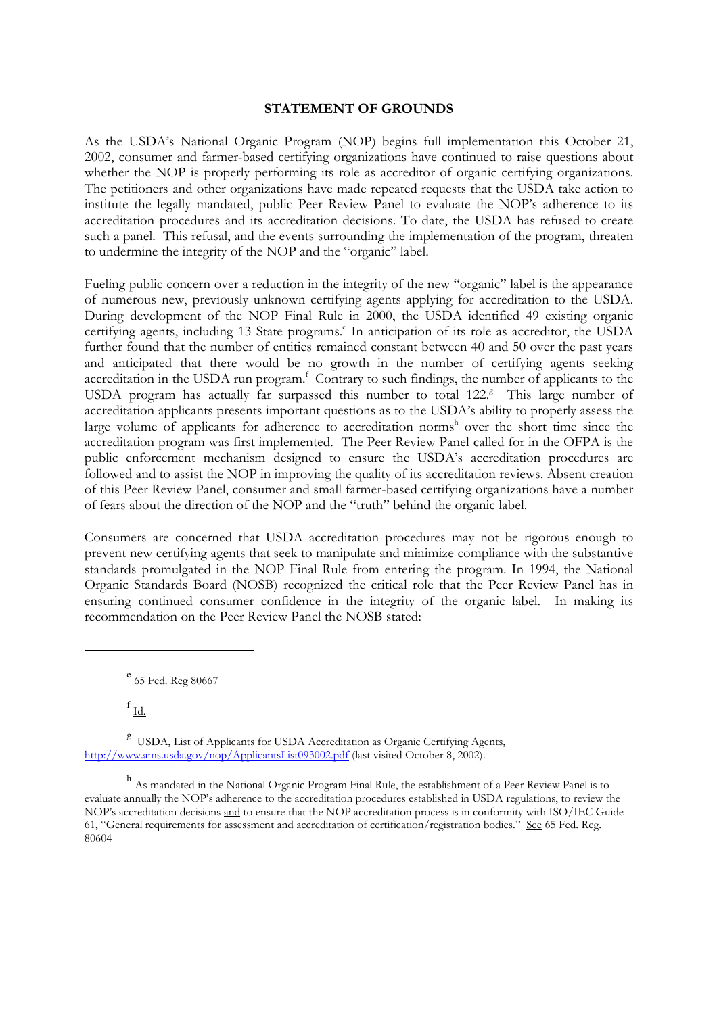#### **STATEMENT OF GROUNDS**

As the USDA's National Organic Program (NOP) begins full implementation this October 21, 2002, consumer and farmer-based certifying organizations have continued to raise questions about whether the NOP is properly performing its role as accreditor of organic certifying organizations. The petitioners and other organizations have made repeated requests that the USDA take action to institute the legally mandated, public Peer Review Panel to evaluate the NOP's adherence to its accreditation procedures and its accreditation decisions. To date, the USDA has refused to create such a panel. This refusal, and the events surrounding the implementation of the program, threaten to undermine the integrity of the NOP and the "organic" label.

Fueling public concern over a reduction in the integrity of the new "organic" label is the appearance of numerous new, previously unknown certifying agents applying for accreditation to the USDA. During development of the NOP Final Rule in 2000, the USDA identified 49 existing organic certifying agents, including 13 State programs.<sup>e</sup> In anticipation of its role as accreditor, the USDA further found that the number of entities remained constant between 40 and 50 over the past years and anticipated that there would be no growth in the number of certifying agents seeking accreditation in the USDA run program.<sup>f</sup> Contrary to such findings, the number of applicants to the USDA program has actually far surpassed this number to total 122.8 This large number of accreditation applicants presents important questions as to the USDA's ability to properly assess the large volume of applicants for adherence to accreditation norms<sup>h</sup> over the short time since the accreditation program was first implemented. The Peer Review Panel called for in the OFPA is the public enforcement mechanism designed to ensure the USDA's accreditation procedures are followed and to assist the NOP in improving the quality of its accreditation reviews. Absent creation of this Peer Review Panel, consumer and small farmer-based certifying organizations have a number of fears about the direction of the NOP and the "truth" behind the organic label.

Consumers are concerned that USDA accreditation procedures may not be rigorous enough to prevent new certifying agents that seek to manipulate and minimize compliance with the substantive standards promulgated in the NOP Final Rule from entering the program. In 1994, the National Organic Standards Board (NOSB) recognized the critical role that the Peer Review Panel has in ensuring continued consumer confidence in the integrity of the organic label. In making its recommendation on the Peer Review Panel the NOSB stated:

e 65 Fed. Reg 80667

 $f_{\rm Id.}$ 

<sup>g</sup> USDA, List of Applicants for USDA Accreditation as Organic Certifying Agents, http://www.ams.usda.gov/nop/ApplicantsList093002.pdf (last visited October 8, 2002).

h As mandated in the National Organic Program Final Rule, the establishment of a Peer Review Panel is to evaluate annually the NOP's adherence to the accreditation procedures established in USDA regulations, to review the NOP's accreditation decisions and to ensure that the NOP accreditation process is in conformity with ISO/IEC Guide 61, "General requirements for assessment and accreditation of certification/registration bodies." See 65 Fed. Reg. 80604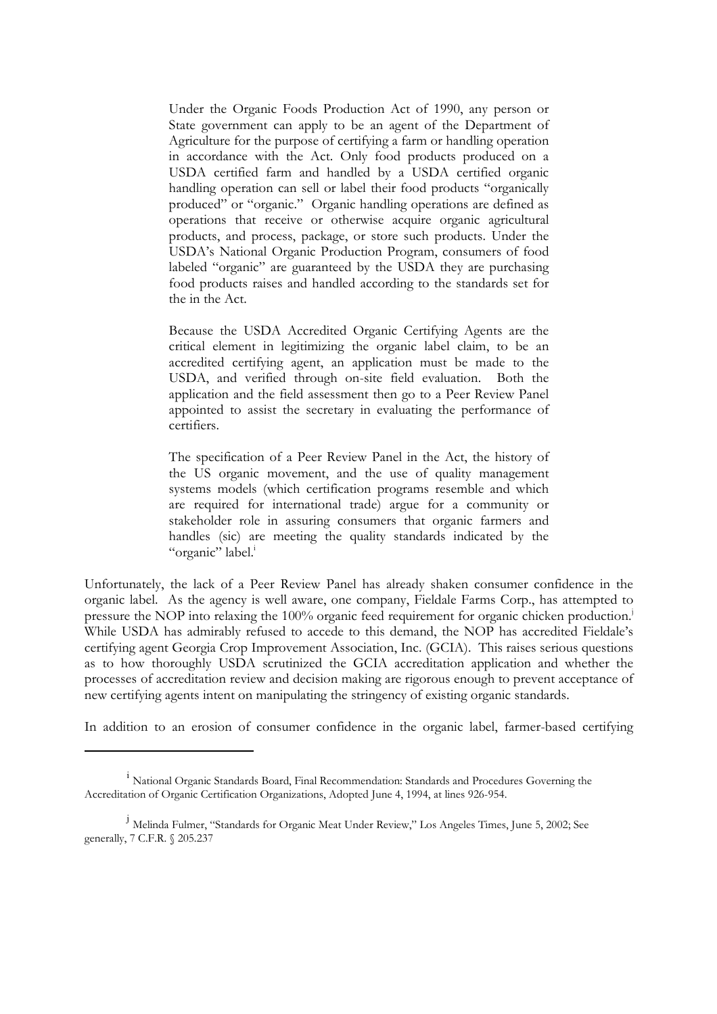Under the Organic Foods Production Act of 1990, any person or State government can apply to be an agent of the Department of Agriculture for the purpose of certifying a farm or handling operation in accordance with the Act. Only food products produced on a USDA certified farm and handled by a USDA certified organic handling operation can sell or label their food products "organically produced" or "organic." Organic handling operations are defined as operations that receive or otherwise acquire organic agricultural products, and process, package, or store such products. Under the USDA's National Organic Production Program, consumers of food labeled "organic" are guaranteed by the USDA they are purchasing food products raises and handled according to the standards set for the in the Act.

Because the USDA Accredited Organic Certifying Agents are the critical element in legitimizing the organic label claim, to be an accredited certifying agent, an application must be made to the USDA, and verified through on-site field evaluation. Both the application and the field assessment then go to a Peer Review Panel appointed to assist the secretary in evaluating the performance of certifiers.

The specification of a Peer Review Panel in the Act, the history of the US organic movement, and the use of quality management systems models (which certification programs resemble and which are required for international trade) argue for a community or stakeholder role in assuring consumers that organic farmers and handles (sic) are meeting the quality standards indicated by the "organic" label.

Unfortunately, the lack of a Peer Review Panel has already shaken consumer confidence in the organic label. As the agency is well aware, one company, Fieldale Farms Corp., has attempted to pressure the NOP into relaxing the 100% organic feed requirement for organic chicken production.<sup>1</sup> While USDA has admirably refused to accede to this demand, the NOP has accredited Fieldale's certifying agent Georgia Crop Improvement Association, Inc. (GCIA). This raises serious questions as to how thoroughly USDA scrutinized the GCIA accreditation application and whether the processes of accreditation review and decision making are rigorous enough to prevent acceptance of new certifying agents intent on manipulating the stringency of existing organic standards.

In addition to an erosion of consumer confidence in the organic label, farmer-based certifying

<sup>&</sup>lt;sup>1</sup> National Organic Standards Board, Final Recommendation: Standards and Procedures Governing the Accreditation of Organic Certification Organizations, Adopted June 4, 1994, at lines 926-954.

<sup>&</sup>lt;sup>j</sup> Melinda Fulmer, "Standards for Organic Meat Under Review," Los Angeles Times, June 5, 2002; See generally, 7 C.F.R. § 205.237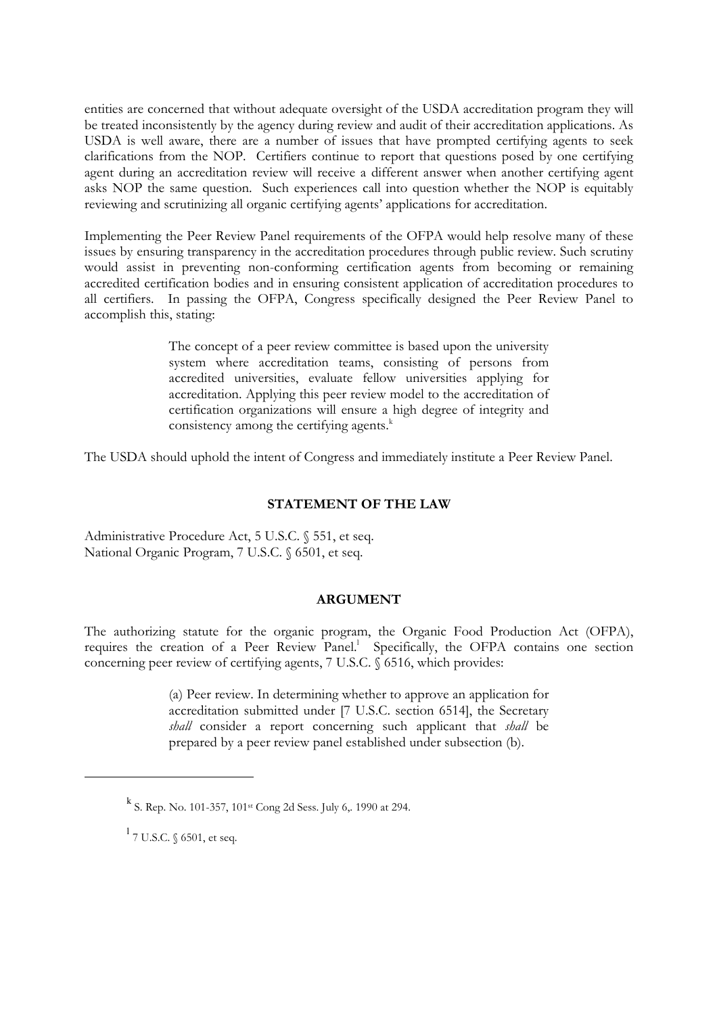entities are concerned that without adequate oversight of the USDA accreditation program they will be treated inconsistently by the agency during review and audit of their accreditation applications. As USDA is well aware, there are a number of issues that have prompted certifying agents to seek clarifications from the NOP. Certifiers continue to report that questions posed by one certifying agent during an accreditation review will receive a different answer when another certifying agent asks NOP the same question. Such experiences call into question whether the NOP is equitably reviewing and scrutinizing all organic certifying agents' applications for accreditation.

Implementing the Peer Review Panel requirements of the OFPA would help resolve many of these issues by ensuring transparency in the accreditation procedures through public review. Such scrutiny would assist in preventing non-conforming certification agents from becoming or remaining accredited certification bodies and in ensuring consistent application of accreditation procedures to all certifiers. In passing the OFPA, Congress specifically designed the Peer Review Panel to accomplish this, stating:

> The concept of a peer review committee is based upon the university system where accreditation teams, consisting of persons from accredited universities, evaluate fellow universities applying for accreditation. Applying this peer review model to the accreditation of certification organizations will ensure a high degree of integrity and consistency among the certifying agents.<sup>k</sup>

The USDA should uphold the intent of Congress and immediately institute a Peer Review Panel.

## **STATEMENT OF THE LAW**

Administrative Procedure Act, 5 U.S.C. § 551, et seq. National Organic Program, 7 U.S.C. § 6501, et seq.

#### **ARGUMENT**

The authorizing statute for the organic program, the Organic Food Production Act (OFPA), requires the creation of a Peer Review Panel.<sup>1</sup> Specifically, the OFPA contains one section concerning peer review of certifying agents, 7 U.S.C. § 6516, which provides:

> (a) Peer review. In determining whether to approve an application for accreditation submitted under [7 U.S.C. section 6514], the Secretary shall consider a report concerning such applicant that shall be prepared by a peer review panel established under subsection (b).

<sup>&</sup>lt;sup>k</sup> S. Rep. No. 101-357, 101<sup>st</sup> Cong 2d Sess. July 6,. 1990 at 294.

 $^1$  7 U.S.C.  $\mathcal{\S}$  6501, et seq.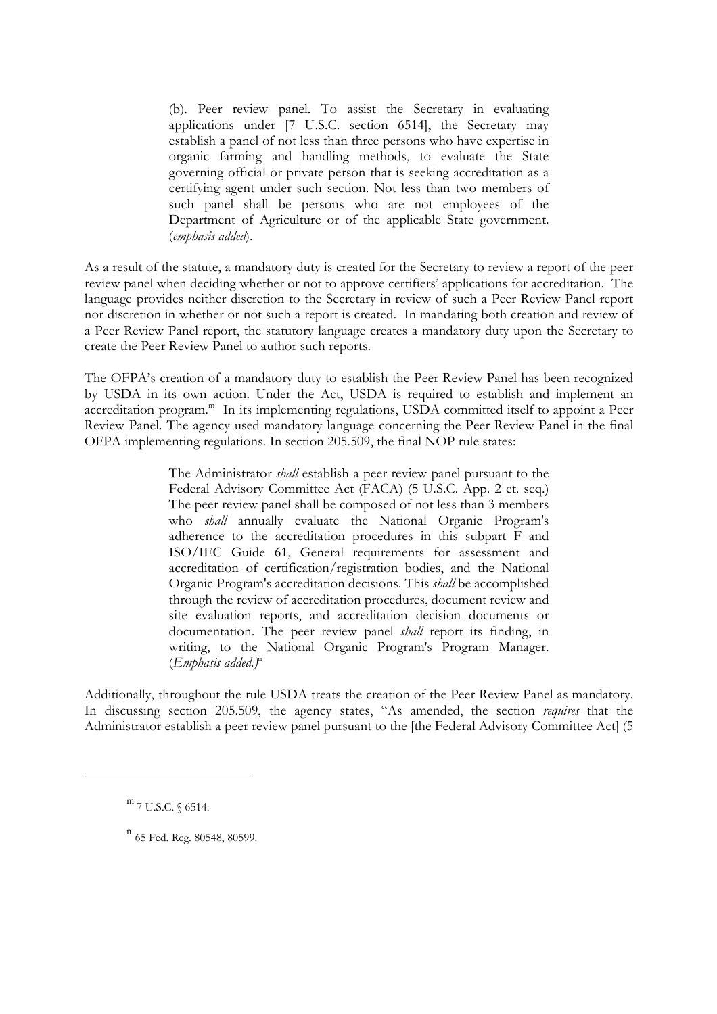(b). Peer review panel. To assist the Secretary in evaluating applications under [7 U.S.C. section 6514], the Secretary may establish a panel of not less than three persons who have expertise in organic farming and handling methods, to evaluate the State governing official or private person that is seeking accreditation as a certifying agent under such section. Not less than two members of such panel shall be persons who are not employees of the Department of Agriculture or of the applicable State government. (emphasis added).

As a result of the statute, a mandatory duty is created for the Secretary to review a report of the peer review panel when deciding whether or not to approve certifiers' applications for accreditation. The language provides neither discretion to the Secretary in review of such a Peer Review Panel report nor discretion in whether or not such a report is created. In mandating both creation and review of a Peer Review Panel report, the statutory language creates a mandatory duty upon the Secretary to create the Peer Review Panel to author such reports.

The OFPA's creation of a mandatory duty to establish the Peer Review Panel has been recognized by USDA in its own action. Under the Act, USDA is required to establish and implement an accreditation program.<sup>m</sup> In its implementing regulations, USDA committed itself to appoint a Peer Review Panel. The agency used mandatory language concerning the Peer Review Panel in the final OFPA implementing regulations. In section 205.509, the final NOP rule states:

> The Administrator *shall* establish a peer review panel pursuant to the Federal Advisory Committee Act (FACA) (5 U.S.C. App. 2 et. seq.) The peer review panel shall be composed of not less than 3 members who *shall* annually evaluate the National Organic Program's adherence to the accreditation procedures in this subpart F and ISO/IEC Guide 61, General requirements for assessment and accreditation of certification/registration bodies, and the National Organic Program's accreditation decisions. This *shall* be accomplished through the review of accreditation procedures, document review and site evaluation reports, and accreditation decision documents or documentation. The peer review panel *shall* report its finding, in writing, to the National Organic Program's Program Manager.  $(Emb hasis added.)<sup>n</sup>$

Additionally, throughout the rule USDA treats the creation of the Peer Review Panel as mandatory. In discussing section 205.509, the agency states, "As amended, the section requires that the Administrator establish a peer review panel pursuant to the [the Federal Advisory Committee Act] (5

 $m$  7 U.S.C.  $\S$  6514.

 $n$  65 Fed. Reg. 80548, 80599.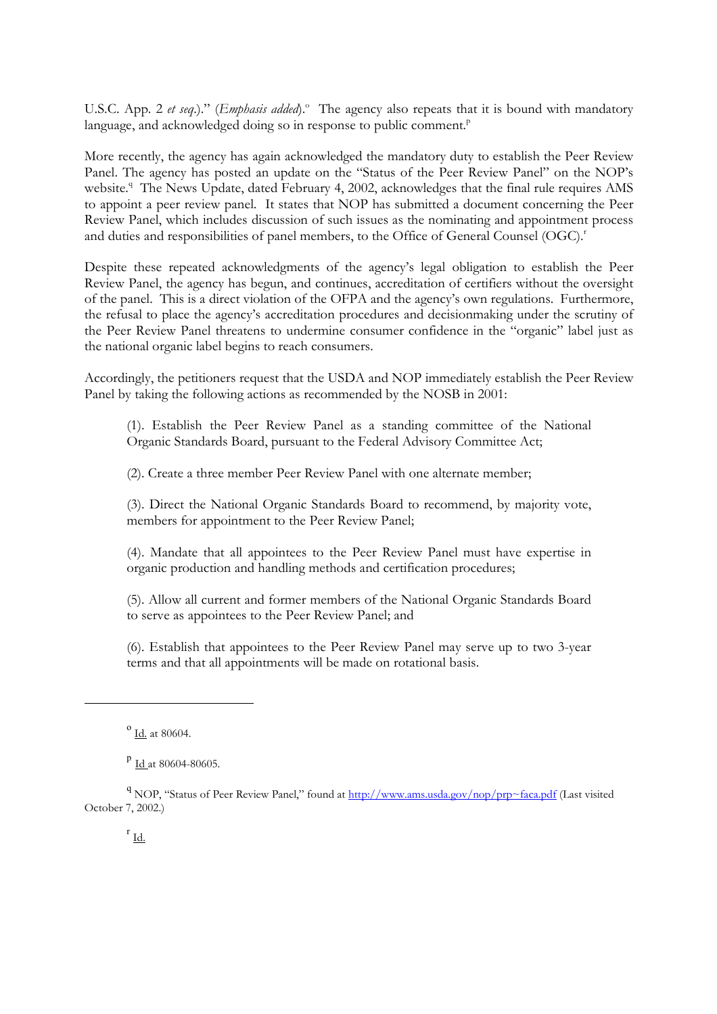U.S.C. App. 2 et seq.)." (Emphasis added).<sup>°</sup> The agency also repeats that it is bound with mandatory language, and acknowledged doing so in response to public comment.<sup>P</sup>

More recently, the agency has again acknowledged the mandatory duty to establish the Peer Review Panel. The agency has posted an update on the "Status of the Peer Review Panel" on the NOP's website.<sup>9</sup> The News Update, dated February 4, 2002, acknowledges that the final rule requires AMS to appoint a peer review panel. It states that NOP has submitted a document concerning the Peer Review Panel, which includes discussion of such issues as the nominating and appointment process and duties and responsibilities of panel members, to the Office of General Counsel (OGC).<sup>*r*</sup>

Despite these repeated acknowledgments of the agency's legal obligation to establish the Peer Review Panel, the agency has begun, and continues, accreditation of certifiers without the oversight of the panel. This is a direct violation of the OFPA and the agency's own regulations. Furthermore, the refusal to place the agency's accreditation procedures and decision making under the scrutiny of the Peer Review Panel threatens to undermine consumer confidence in the "organic" label just as the national organic label begins to reach consumers.

Accordingly, the petitioners request that the USDA and NOP immediately establish the Peer Review Panel by taking the following actions as recommended by the NOSB in 2001:

(1). Establish the Peer Review Panel as a standing committee of the National Organic Standards Board, pursuant to the Federal Advisory Committee Act;

(2). Create a three member Peer Review Panel with one alternate member;

(3). Direct the National Organic Standards Board to recommend, by majority vote, members for appointment to the Peer Review Panel;

(4). Mandate that all appointees to the Peer Review Panel must have expertise in organic production and handling methods and certification procedures;

(5). Allow all current and former members of the National Organic Standards Board to serve as appointees to the Peer Review Panel; and

(6). Establish that appointees to the Peer Review Panel may serve up to two 3-year terms and that all appointments will be made on rotational basis.

 $^{0}$  Id. at 80604.

<sup>&</sup>lt;sup>p</sup> Id at 80604-80605.

<sup>&</sup>lt;sup>q</sup> NOP, "Status of Peer Review Panel," found at http://www.ams.usda.gov/nop/prp~faca.pdf (Last visited October 7, 2002.)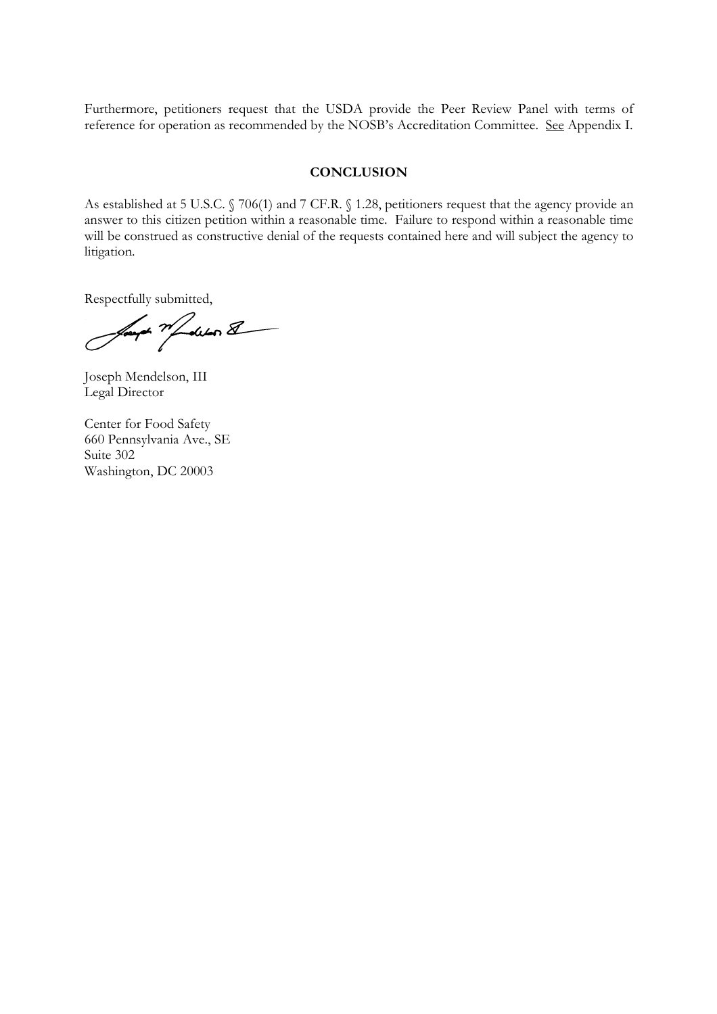Furthermore, petitioners request that the USDA provide the Peer Review Panel with terms of reference for operation as recommended by the NOSB's Accreditation Committee. See Appendix I.

#### **CONCLUSION**

As established at 5 U.S.C. § 706(1) and 7 CF.R. § 1.28, petitioners request that the agency provide an answer to this citizen petition within a reasonable time. Failure to respond within a reasonable time will be constructed as constructive denial of the requests contained here and will subject the agency to litigation.

Respectfully submitted,

Sound Mobilen &

Joseph Mendelson, III Legal Director

Center for Food Safety 660 Pennsylvania Ave., SE Suite 302 Washington, DC 20003